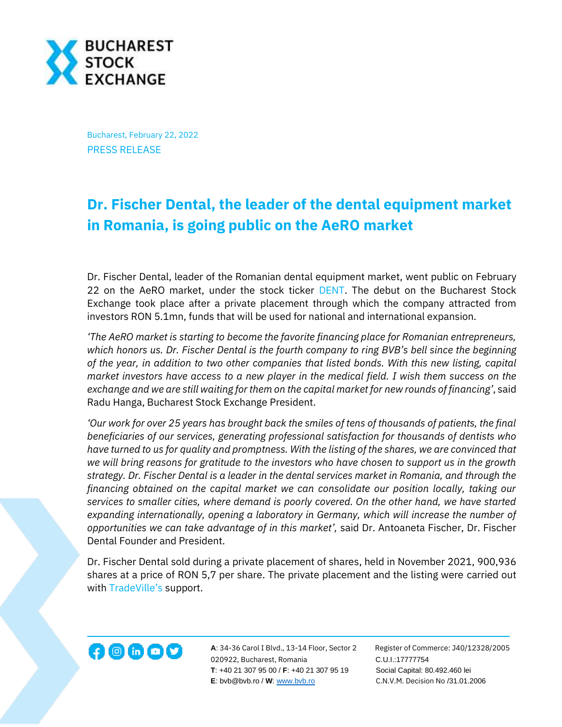

Bucharest, February 22, 2022 PRESS RELEASE

## **Dr. Fischer Dental, the leader of the dental equipment market in Romania, is going public on the AeRO market**

Dr. Fischer Dental, leader of the Romanian dental equipment market, went public on February 22 on the AeRO market, under the stock ticker [DENT.](https://bvb.ro/FinancialInstruments/Details/FinancialInstrumentsDetails.aspx?s=DENT) The debut on the Bucharest Stock Exchange took place after a private placement through which the company attracted from investors RON 5.1mn, funds that will be used for national and international expansion.

*'The AeRO market is starting to become the favorite financing place for Romanian entrepreneurs, which honors us. Dr. Fischer Dental is the fourth company to ring BVB's bell since the beginning of the year, in addition to two other companies that listed bonds. With this new listing, capital market investors have access to a new player in the medical field. I wish them success on the exchange and we are still waiting for them on the capital market for new rounds of financing'*, said Radu Hanga, Bucharest Stock Exchange President.

*'Our work for over 25 years has brought back the smiles of tens of thousands of patients, the final beneficiaries of our services, generating professional satisfaction for thousands of dentists who have turned to us for quality and promptness. With the listing of the shares, we are convinced that we will bring reasons for gratitude to the investors who have chosen to support us in the growth strategy. Dr. Fischer Dental is a leader in the dental services market in Romania, and through the financing obtained on the capital market we can consolidate our position locally, taking our services to smaller cities, where demand is poorly covered. On the other hand, we have started expanding internationally, opening a laboratory in Germany, which will increase the number of opportunities we can take advantage of in this market',* said Dr. Antoaneta Fischer, Dr. Fischer Dental Founder and President.

Dr. Fischer Dental sold during a private placement of shares, held in November 2021, 900,936 shares at a price of RON 5,7 per share. The private placement and the listing were carried out wit[h TradeVille](https://tradeville.ro/)'s support.



**A**: 34-36 Carol I Blvd., 13-14 Floor, Sector 2 Register of Commerce: J40/12328/2005 020922, Bucharest, Romania C.U.I.:17777754  **T**: +40 21 307 95 00 / **F**: +40 21 307 95 19 Social Capital: 80.492.460 lei **E**: bvb@bvb.ro / **W**[: www.bvb.ro](http://www.bvb.ro/) C.N.V.M. Decision No /31.01.2006